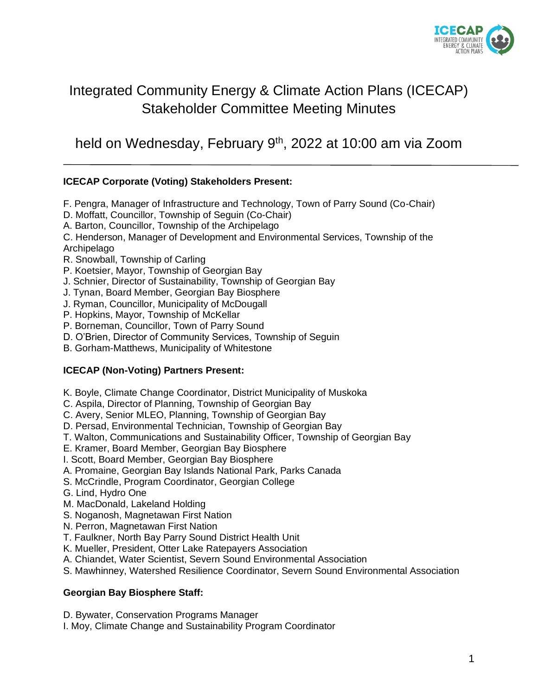

## Integrated Community Energy & Climate Action Plans (ICECAP) Stakeholder Committee Meeting Minutes

held on Wednesday, February 9<sup>th</sup>, 2022 at 10:00 am via Zoom

### **ICECAP Corporate (Voting) Stakeholders Present:**

- F. Pengra, Manager of Infrastructure and Technology, Town of Parry Sound (Co-Chair)
- D. Moffatt, Councillor, Township of Seguin (Co-Chair)
- A. Barton, Councillor, Township of the Archipelago

C. Henderson, Manager of Development and Environmental Services, Township of the **Archipelago** 

- R. Snowball, Township of Carling
- P. Koetsier, Mayor, Township of Georgian Bay
- J. Schnier, Director of Sustainability, Township of Georgian Bay
- J. Tynan, Board Member, Georgian Bay Biosphere
- J. Ryman, Councillor, Municipality of McDougall
- P. Hopkins, Mayor, Township of McKellar
- P. Borneman, Councillor, Town of Parry Sound
- D. O'Brien, Director of Community Services, Township of Seguin
- B. Gorham-Matthews, Municipality of Whitestone

#### **ICECAP (Non-Voting) Partners Present:**

- K. Boyle, Climate Change Coordinator, District Municipality of Muskoka
- C. Aspila, Director of Planning, Township of Georgian Bay
- C. Avery, Senior MLEO, Planning, Township of Georgian Bay
- D. Persad, Environmental Technician, Township of Georgian Bay
- T. Walton, Communications and Sustainability Officer, Township of Georgian Bay
- E. Kramer, Board Member, Georgian Bay Biosphere
- I. Scott, Board Member, Georgian Bay Biosphere
- A. Promaine, Georgian Bay Islands National Park, Parks Canada
- S. McCrindle, Program Coordinator, Georgian College
- G. Lind, Hydro One
- M. MacDonald, Lakeland Holding
- S. Noganosh, Magnetawan First Nation
- N. Perron, Magnetawan First Nation
- T. Faulkner, North Bay Parry Sound District Health Unit
- K. Mueller, President, Otter Lake Ratepayers Association
- A. Chiandet, Water Scientist, Severn Sound Environmental Association
- S. Mawhinney, Watershed Resilience Coordinator, Severn Sound Environmental Association

#### **Georgian Bay Biosphere Staff:**

D. Bywater, Conservation Programs Manager

I. Moy, Climate Change and Sustainability Program Coordinator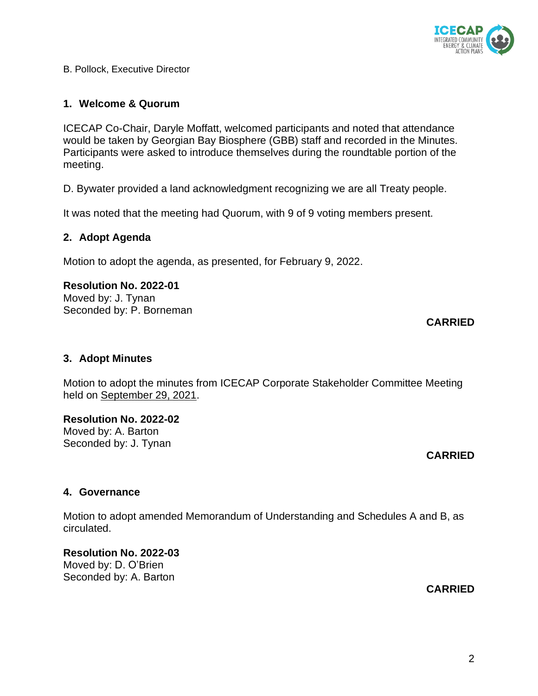B. Pollock, Executive Director

### **1. Welcome & Quorum**

ICECAP Co-Chair, Daryle Moffatt, welcomed participants and noted that attendance would be taken by Georgian Bay Biosphere (GBB) staff and recorded in the Minutes. Participants were asked to introduce themselves during the roundtable portion of the meeting.

D. Bywater provided a land acknowledgment recognizing we are all Treaty people.

It was noted that the meeting had Quorum, with 9 of 9 voting members present.

### **2. Adopt Agenda**

Motion to adopt the agenda, as presented, for February 9, 2022.

### **Resolution No. 2022-01**

Moved by: J. Tynan Seconded by: P. Borneman

### **3. Adopt Minutes**

Motion to adopt the minutes from ICECAP Corporate Stakeholder Committee Meeting held on September 29, 2021.

### **Resolution No. 2022-02**

Moved by: A. Barton Seconded by: J. Tynan

# **CARRIED**

### **4. Governance**

Motion to adopt amended Memorandum of Understanding and Schedules A and B, as circulated.

**Resolution No. 2022-03** Moved by: D. O'Brien Seconded by: A. Barton

### **CARRIED**



### **CARRIED**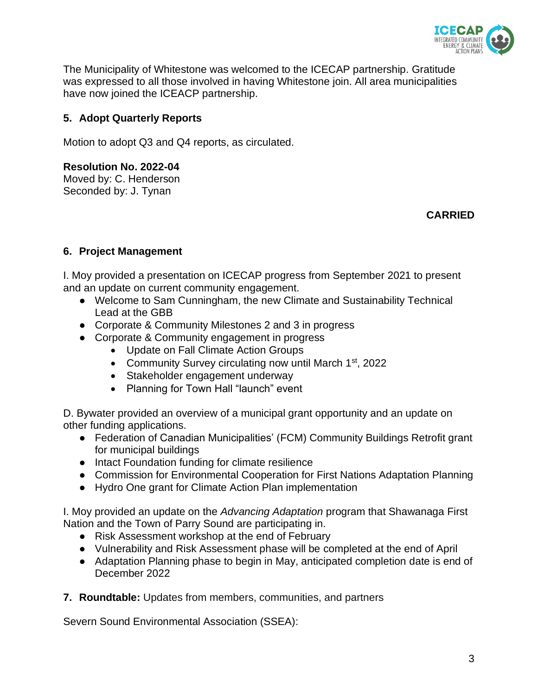

The Municipality of Whitestone was welcomed to the ICECAP partnership. Gratitude was expressed to all those involved in having Whitestone join. All area municipalities have now joined the ICEACP partnership.

### **5. Adopt Quarterly Reports**

Motion to adopt Q3 and Q4 reports, as circulated.

#### **Resolution No. 2022-04**

Moved by: C. Henderson Seconded by: J. Tynan

**CARRIED**

### **6. Project Management**

I. Moy provided a presentation on ICECAP progress from September 2021 to present and an update on current community engagement.

- Welcome to Sam Cunningham, the new Climate and Sustainability Technical Lead at the GBB
- Corporate & Community Milestones 2 and 3 in progress
- Corporate & Community engagement in progress
	- Update on Fall Climate Action Groups
	- Community Survey circulating now until March 1<sup>st</sup>, 2022
	- Stakeholder engagement underway
	- Planning for Town Hall "launch" event

D. Bywater provided an overview of a municipal grant opportunity and an update on other funding applications.

- Federation of Canadian Municipalities' (FCM) Community Buildings Retrofit grant for municipal buildings
- Intact Foundation funding for climate resilience
- Commission for Environmental Cooperation for First Nations Adaptation Planning
- Hydro One grant for Climate Action Plan implementation

I. Moy provided an update on the *Advancing Adaptation* program that Shawanaga First Nation and the Town of Parry Sound are participating in.

- Risk Assessment workshop at the end of February
- Vulnerability and Risk Assessment phase will be completed at the end of April
- Adaptation Planning phase to begin in May, anticipated completion date is end of December 2022
- **7. Roundtable:** Updates from members, communities, and partners

Severn Sound Environmental Association (SSEA):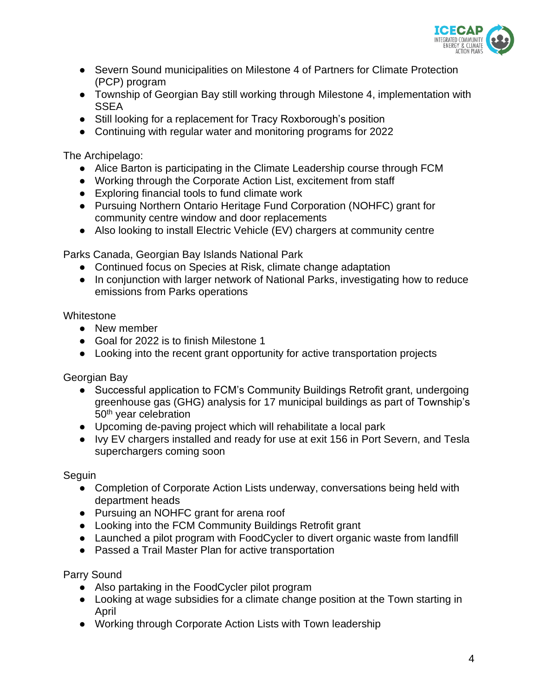

- Severn Sound municipalities on Milestone 4 of Partners for Climate Protection (PCP) program
- Township of Georgian Bay still working through Milestone 4, implementation with **SSEA**
- Still looking for a replacement for Tracy Roxborough's position
- Continuing with regular water and monitoring programs for 2022

The Archipelago:

- Alice Barton is participating in the Climate Leadership course through FCM
- Working through the Corporate Action List, excitement from staff
- Exploring financial tools to fund climate work
- Pursuing Northern Ontario Heritage Fund Corporation (NOHFC) grant for community centre window and door replacements
- Also looking to install Electric Vehicle (EV) chargers at community centre

Parks Canada, Georgian Bay Islands National Park

- Continued focus on Species at Risk, climate change adaptation
- In conjunction with larger network of National Parks, investigating how to reduce emissions from Parks operations

**Whitestone** 

- New member
- Goal for 2022 is to finish Milestone 1
- Looking into the recent grant opportunity for active transportation projects

Georgian Bay

- Successful application to FCM's Community Buildings Retrofit grant, undergoing greenhouse gas (GHG) analysis for 17 municipal buildings as part of Township's 50<sup>th</sup> year celebration
- Upcoming de-paving project which will rehabilitate a local park
- Ivy EV chargers installed and ready for use at exit 156 in Port Severn, and Tesla superchargers coming soon

Seguin

- Completion of Corporate Action Lists underway, conversations being held with department heads
- Pursuing an NOHFC grant for arena roof
- Looking into the FCM Community Buildings Retrofit grant
- Launched a pilot program with FoodCycler to divert organic waste from landfill
- Passed a Trail Master Plan for active transportation

Parry Sound

- Also partaking in the FoodCycler pilot program
- Looking at wage subsidies for a climate change position at the Town starting in April
- Working through Corporate Action Lists with Town leadership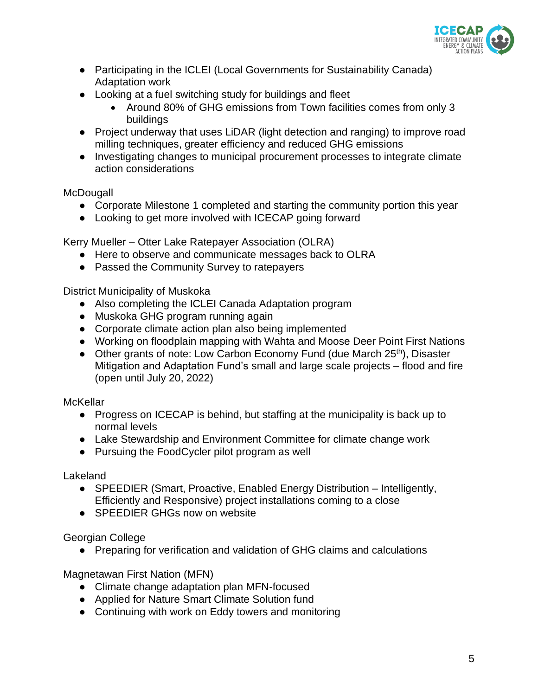

- Participating in the ICLEI (Local Governments for Sustainability Canada) Adaptation work
- Looking at a fuel switching study for buildings and fleet
	- Around 80% of GHG emissions from Town facilities comes from only 3 buildings
- Project underway that uses LiDAR (light detection and ranging) to improve road milling techniques, greater efficiency and reduced GHG emissions
- Investigating changes to municipal procurement processes to integrate climate action considerations

### **McDougall**

- Corporate Milestone 1 completed and starting the community portion this year
- Looking to get more involved with ICECAP going forward

Kerry Mueller – Otter Lake Ratepayer Association (OLRA)

- Here to observe and communicate messages back to OLRA
- Passed the Community Survey to ratepayers

District Municipality of Muskoka

- Also completing the ICLEI Canada Adaptation program
- Muskoka GHG program running again
- Corporate climate action plan also being implemented
- Working on floodplain mapping with Wahta and Moose Deer Point First Nations
- Other grants of note: Low Carbon Economy Fund (due March 25<sup>th</sup>), Disaster Mitigation and Adaptation Fund's small and large scale projects – flood and fire (open until July 20, 2022)

### **McKellar**

- Progress on ICECAP is behind, but staffing at the municipality is back up to normal levels
- Lake Stewardship and Environment Committee for climate change work
- Pursuing the FoodCycler pilot program as well

Lakeland

- SPEEDIER (Smart, Proactive, Enabled Energy Distribution Intelligently, Efficiently and Responsive) project installations coming to a close
- SPEEDIER GHGs now on website

Georgian College

● Preparing for verification and validation of GHG claims and calculations

Magnetawan First Nation (MFN)

- Climate change adaptation plan MFN-focused
- Applied for Nature Smart Climate Solution fund
- Continuing with work on Eddy towers and monitoring